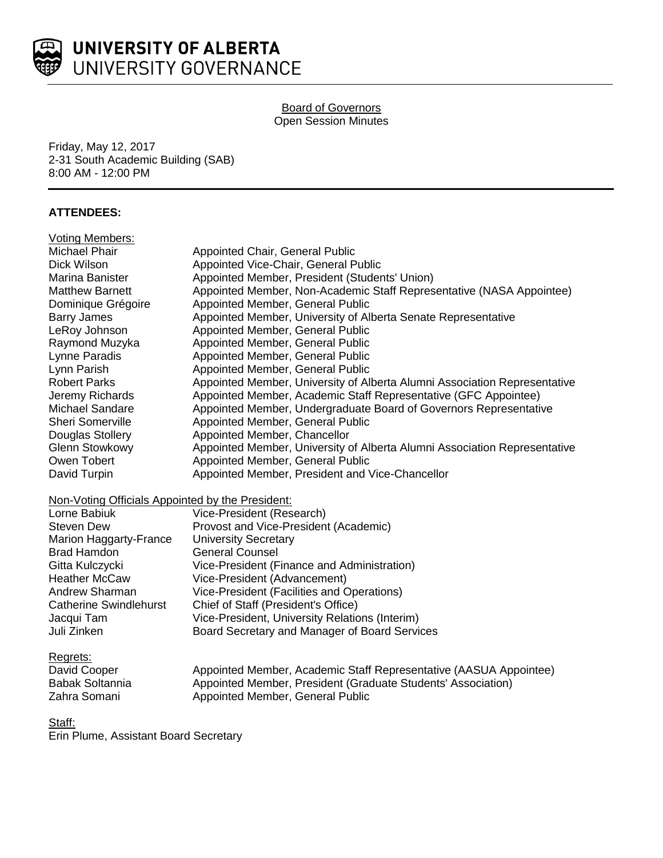

# Board of Governors Open Session Minutes

Friday, May 12, 2017 2-31 South Academic Building (SAB) 8:00 AM - 12:00 PM

# **ATTENDEES:**

| <b>Voting Members:</b>                           |                                                                           |
|--------------------------------------------------|---------------------------------------------------------------------------|
| Michael Phair                                    | Appointed Chair, General Public                                           |
| Dick Wilson                                      | Appointed Vice-Chair, General Public                                      |
| Marina Banister                                  | Appointed Member, President (Students' Union)                             |
| <b>Matthew Barnett</b>                           | Appointed Member, Non-Academic Staff Representative (NASA Appointee)      |
| Dominique Grégoire                               | Appointed Member, General Public                                          |
| <b>Barry James</b>                               | Appointed Member, University of Alberta Senate Representative             |
| LeRoy Johnson                                    | Appointed Member, General Public                                          |
| Raymond Muzyka                                   | Appointed Member, General Public                                          |
| Lynne Paradis                                    | Appointed Member, General Public                                          |
| Lynn Parish                                      | Appointed Member, General Public                                          |
| <b>Robert Parks</b>                              | Appointed Member, University of Alberta Alumni Association Representative |
| Jeremy Richards                                  | Appointed Member, Academic Staff Representative (GFC Appointee)           |
| <b>Michael Sandare</b>                           | Appointed Member, Undergraduate Board of Governors Representative         |
| Sheri Somerville                                 | Appointed Member, General Public                                          |
| Douglas Stollery                                 | Appointed Member, Chancellor                                              |
| <b>Glenn Stowkowy</b>                            | Appointed Member, University of Alberta Alumni Association Representative |
| Owen Tobert                                      | Appointed Member, General Public                                          |
| David Turpin                                     | Appointed Member, President and Vice-Chancellor                           |
| Non-Voting Officials Appointed by the President: |                                                                           |
| Lorne Babiuk                                     | Vice-President (Research)                                                 |
| <b>Steven Dew</b>                                | Provost and Vice-President (Academic)                                     |
| Marion Haggarty-France                           | <b>University Secretary</b>                                               |
| <b>Brad Hamdon</b>                               | <b>General Counsel</b>                                                    |
| Gitta Kulczycki                                  | Vice-President (Finance and Administration)                               |
| <b>Heather McCaw</b>                             | Vice-President (Advancement)                                              |
| Andrew Sharman                                   | Vice-President (Facilities and Operations)                                |
| <b>Catherine Swindlehurst</b>                    | Chief of Staff (President's Office)                                       |
| Jacqui Tam                                       | Vice-President, University Relations (Interim)                            |
| Juli Zinken                                      | Board Secretary and Manager of Board Services                             |
| Regrets:                                         |                                                                           |
| David Cooper                                     | Appointed Member, Academic Staff Representative (AASUA Appointee)         |
| <b>Babak Soltannia</b>                           | Appointed Member, President (Graduate Students' Association)              |
| Zahra Somani                                     | Appointed Member, General Public                                          |
|                                                  |                                                                           |
| ~.                                               |                                                                           |

Staff: Erin Plume, Assistant Board Secretary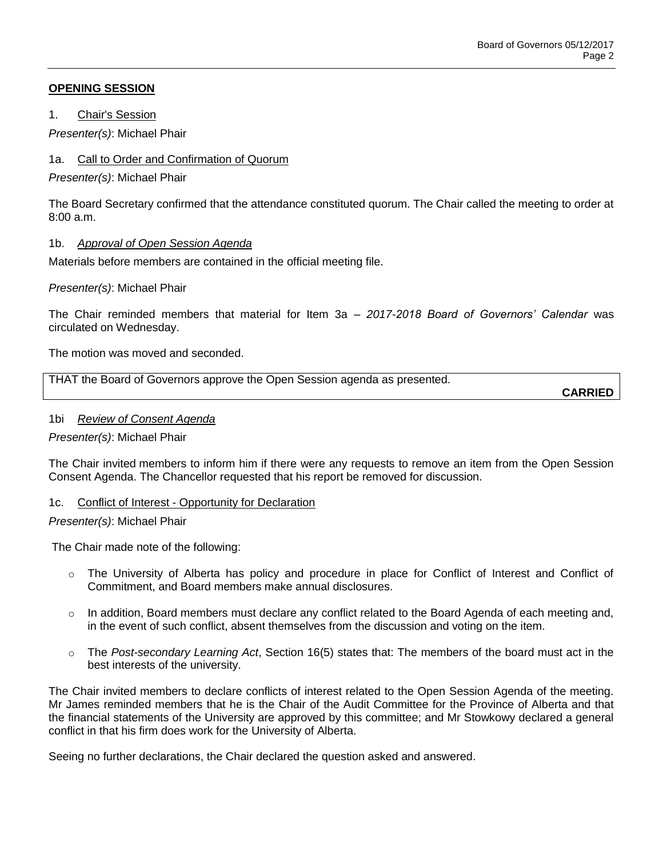## **OPENING SESSION**

1. Chair's Session

*Presenter(s)*: Michael Phair

## 1a. Call to Order and Confirmation of Quorum

*Presenter(s)*: Michael Phair

The Board Secretary confirmed that the attendance constituted quorum. The Chair called the meeting to order at 8:00 a.m.

## 1b. *Approval of Open Session Agenda*

Materials before members are contained in the official meeting file.

## *Presenter(s)*: Michael Phair

The Chair reminded members that material for Item 3a – *2017-2018 Board of Governors' Calendar* was circulated on Wednesday.

The motion was moved and seconded.

THAT the Board of Governors approve the Open Session agenda as presented.

**CARRIED**

## 1bi *Review of Consent Agenda*

## *Presenter(s)*: Michael Phair

The Chair invited members to inform him if there were any requests to remove an item from the Open Session Consent Agenda. The Chancellor requested that his report be removed for discussion.

## 1c. Conflict of Interest - Opportunity for Declaration

## *Presenter(s)*: Michael Phair

The Chair made note of the following:

- $\circ$  The University of Alberta has policy and procedure in place for Conflict of Interest and Conflict of Commitment, and Board members make annual disclosures.
- $\circ$  In addition, Board members must declare any conflict related to the Board Agenda of each meeting and, in the event of such conflict, absent themselves from the discussion and voting on the item.
- o The *Post-secondary Learning Act*, Section 16(5) states that: The members of the board must act in the best interests of the university.

The Chair invited members to declare conflicts of interest related to the Open Session Agenda of the meeting. Mr James reminded members that he is the Chair of the Audit Committee for the Province of Alberta and that the financial statements of the University are approved by this committee; and Mr Stowkowy declared a general conflict in that his firm does work for the University of Alberta.

Seeing no further declarations, the Chair declared the question asked and answered.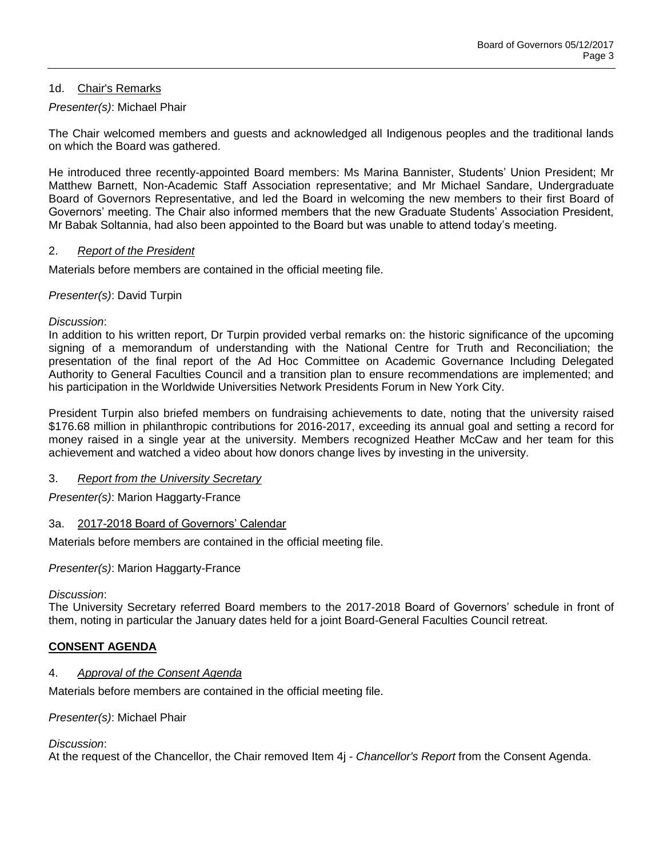# 1d. Chair's Remarks

# *Presenter(s)*: Michael Phair

The Chair welcomed members and guests and acknowledged all Indigenous peoples and the traditional lands on which the Board was gathered.

He introduced three recently-appointed Board members: Ms Marina Bannister, Students' Union President; Mr Matthew Barnett, Non-Academic Staff Association representative; and Mr Michael Sandare, Undergraduate Board of Governors Representative, and led the Board in welcoming the new members to their first Board of Governors' meeting. The Chair also informed members that the new Graduate Students' Association President, Mr Babak Soltannia, had also been appointed to the Board but was unable to attend today's meeting.

#### 2. *Report of the President*

Materials before members are contained in the official meeting file.

## *Presenter(s)*: David Turpin

#### *Discussion*:

In addition to his written report, Dr Turpin provided verbal remarks on: the historic significance of the upcoming signing of a memorandum of understanding with the National Centre for Truth and Reconciliation; the presentation of the final report of the Ad Hoc Committee on Academic Governance Including Delegated Authority to General Faculties Council and a transition plan to ensure recommendations are implemented; and his participation in the Worldwide Universities Network Presidents Forum in New York City.

President Turpin also briefed members on fundraising achievements to date, noting that the university raised \$176.68 million in philanthropic contributions for 2016-2017, exceeding its annual goal and setting a record for money raised in a single year at the university. Members recognized Heather McCaw and her team for this achievement and watched a video about how donors change lives by investing in the university.

## 3. *Report from the University Secretary*

*Presenter(s)*: Marion Haggarty-France

## 3a. 2017-2018 Board of Governors' Calendar

Materials before members are contained in the official meeting file.

*Presenter(s)*: Marion Haggarty-France

#### *Discussion*:

The University Secretary referred Board members to the 2017-2018 Board of Governors' schedule in front of them, noting in particular the January dates held for a joint Board-General Faculties Council retreat.

## **CONSENT AGENDA**

## 4. *Approval of the Consent Agenda*

Materials before members are contained in the official meeting file.

## *Presenter(s)*: Michael Phair

#### *Discussion*:

At the request of the Chancellor, the Chair removed Item 4j - *Chancellor's Report* from the Consent Agenda.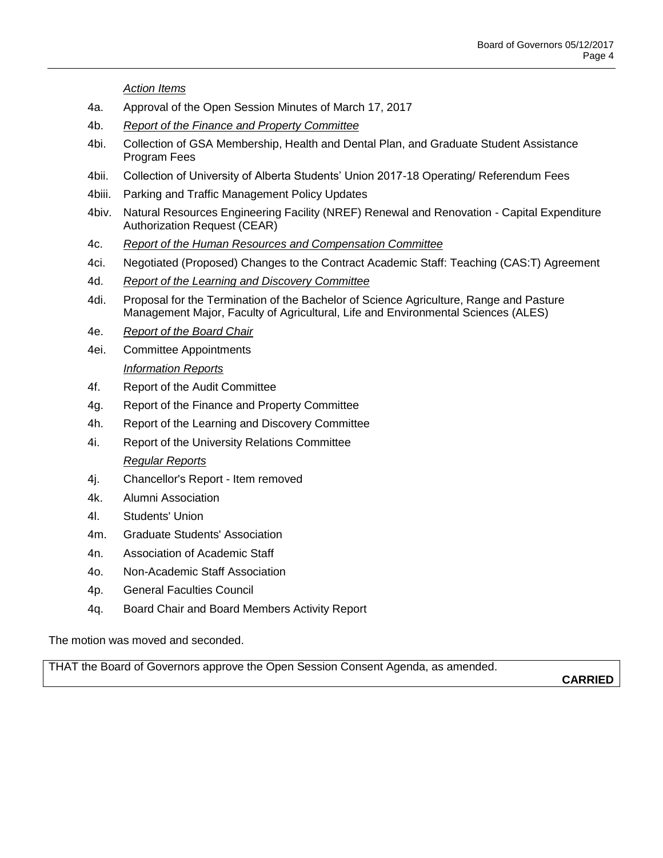*Action Items*

- 4a. Approval of the Open Session Minutes of March 17, 2017
- 4b. *Report of the Finance and Property Committee*
- 4bi. Collection of GSA Membership, Health and Dental Plan, and Graduate Student Assistance Program Fees
- 4bii. Collection of University of Alberta Students' Union 2017-18 Operating/ Referendum Fees
- 4biii. Parking and Traffic Management Policy Updates
- 4biv. Natural Resources Engineering Facility (NREF) Renewal and Renovation Capital Expenditure Authorization Request (CEAR)
- 4c. *Report of the Human Resources and Compensation Committee*
- 4ci. Negotiated (Proposed) Changes to the Contract Academic Staff: Teaching (CAS:T) Agreement
- 4d. *Report of the Learning and Discovery Committee*
- 4di. Proposal for the Termination of the Bachelor of Science Agriculture, Range and Pasture Management Major, Faculty of Agricultural, Life and Environmental Sciences (ALES)
- 4e. *Report of the Board Chair*
- 4ei. Committee Appointments *Information Reports*
- 4f. Report of the Audit Committee
- 4g. Report of the Finance and Property Committee
- 4h. Report of the Learning and Discovery Committee
- 4i. Report of the University Relations Committee

# *Regular Reports*

- 4j. Chancellor's Report Item removed
- 4k. Alumni Association
- 4l. Students' Union
- 4m. Graduate Students' Association
- 4n. Association of Academic Staff
- 4o. Non-Academic Staff Association
- 4p. General Faculties Council
- 4q. Board Chair and Board Members Activity Report

The motion was moved and seconded.

THAT the Board of Governors approve the Open Session Consent Agenda, as amended.

**CARRIED**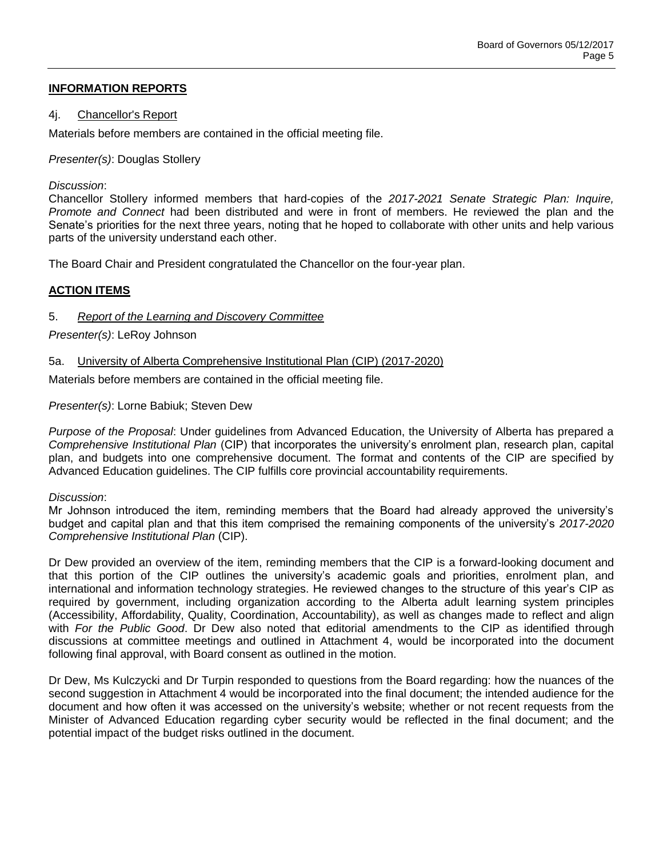# **INFORMATION REPORTS**

#### 4j. Chancellor's Report

Materials before members are contained in the official meeting file.

*Presenter(s)*: Douglas Stollery

#### *Discussion*:

Chancellor Stollery informed members that hard-copies of the *2017-2021 Senate Strategic Plan: Inquire, Promote and Connect* had been distributed and were in front of members. He reviewed the plan and the Senate's priorities for the next three years, noting that he hoped to collaborate with other units and help various parts of the university understand each other.

The Board Chair and President congratulated the Chancellor on the four-year plan.

## **ACTION ITEMS**

# 5. *Report of the Learning and Discovery Committee*

*Presenter(s)*: LeRoy Johnson

## 5a. University of Alberta Comprehensive Institutional Plan (CIP) (2017-2020)

Materials before members are contained in the official meeting file.

## *Presenter(s)*: Lorne Babiuk; Steven Dew

*Purpose of the Proposal*: Under guidelines from Advanced Education, the University of Alberta has prepared a *Comprehensive Institutional Plan* (CIP) that incorporates the university's enrolment plan, research plan, capital plan, and budgets into one comprehensive document. The format and contents of the CIP are specified by Advanced Education guidelines. The CIP fulfills core provincial accountability requirements.

#### *Discussion*:

Mr Johnson introduced the item, reminding members that the Board had already approved the university's budget and capital plan and that this item comprised the remaining components of the university's *2017-2020 Comprehensive Institutional Plan* (CIP).

Dr Dew provided an overview of the item, reminding members that the CIP is a forward-looking document and that this portion of the CIP outlines the university's academic goals and priorities, enrolment plan, and international and information technology strategies. He reviewed changes to the structure of this year's CIP as required by government, including organization according to the Alberta adult learning system principles (Accessibility, Affordability, Quality, Coordination, Accountability), as well as changes made to reflect and align with *For the Public Good*. Dr Dew also noted that editorial amendments to the CIP as identified through discussions at committee meetings and outlined in Attachment 4, would be incorporated into the document following final approval, with Board consent as outlined in the motion.

Dr Dew, Ms Kulczycki and Dr Turpin responded to questions from the Board regarding: how the nuances of the second suggestion in Attachment 4 would be incorporated into the final document; the intended audience for the document and how often it was accessed on the university's website; whether or not recent requests from the Minister of Advanced Education regarding cyber security would be reflected in the final document; and the potential impact of the budget risks outlined in the document.